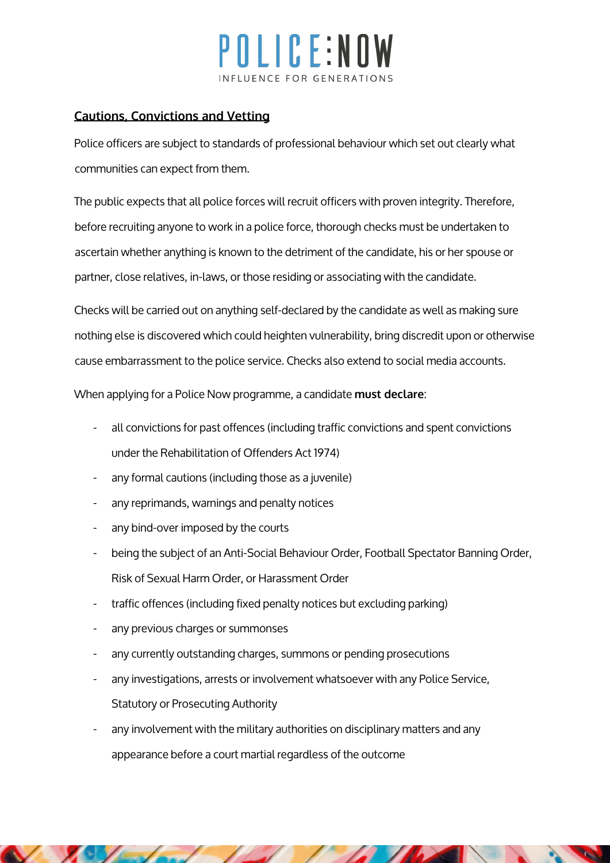# OLICE:NOW INFLUENCE FOR GENERATIO

### **Cautions, Convictions and Vetting**

Police officers are subject to standards of professional behaviour which set out clearly what communities can expect from them.

The public expects that all police forces will recruit officers with proven integrity. Therefore, before recruiting anyone to work in a police force, thorough checks must be undertaken to ascertain whether anything is known to the detriment of the candidate, his or her spouse or partner, close relatives, in-laws, or those residing or associating with the candidate.

Checks will be carried out on anything self-declared by the candidate as well as making sure nothing else is discovered which could heighten vulnerability, bring discredit upon or otherwise cause embarrassment to the police service. Checks also extend to social media accounts.

When applying for a Police Now programme, a candidate must declare:

- all convictions for past offences (including traffic convictions and spent convictions under the Rehabilitation of Offenders Act 1974)
- any formal cautions (including those as a juvenile)
- any reprimands, warnings and penalty notices
- any bind-over imposed by the courts
- being the subject of an Anti-Social Behaviour Order, Football Spectator Banning Order, Risk of Sexual Harm Order, or Harassment Order
- traffic offences (including fixed penalty notices but excluding parking)
- any previous charges or summonses
- any currently outstanding charges, summons or pending prosecutions
- any investigations, arrests or involvement whatsoever with any Police Service, Statutory or Prosecuting Authority
- any involvement with the military authorities on disciplinary matters and any appearance before a court martial regardless of the outcome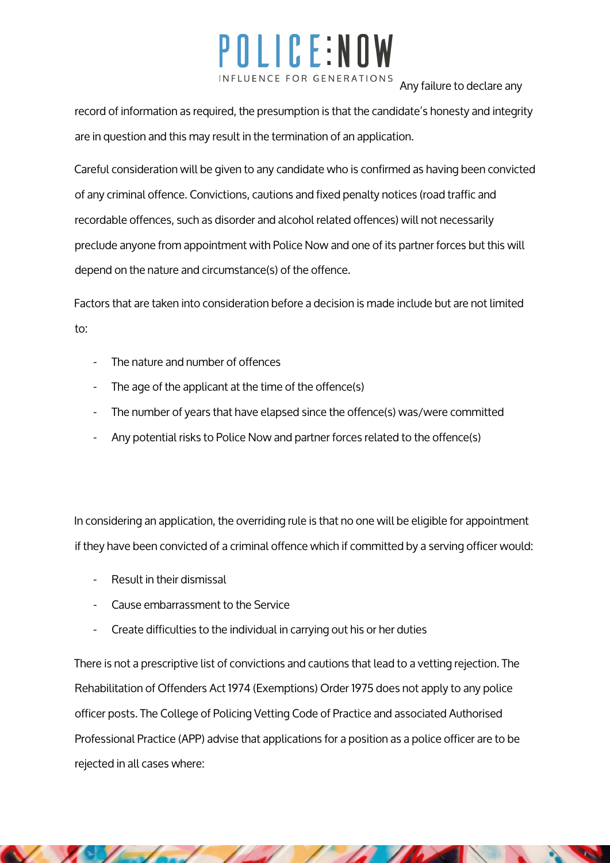## POLICE:NOW INFLUENCE FOR GENERATIONS

Any failure to declare any

record of information as required, the presumption is that the candidate's honesty and integrity are in question and this may result in the termination of an application.

Careful consideration will be given to any candidate who is confirmed as having been convicted of any criminal offence. Convictions, cautions and fixed penalty notices (road traffic and recordable offences, such as disorder and alcohol related offences) will not necessarily preclude anyone from appointment with Police Now and one of its partner forces but this will depend on the nature and circumstance(s) of the offence.

Factors that are taken into consideration before a decision is made include but are not limited to:

- The nature and number of offences
- The age of the applicant at the time of the offence(s)
- The number of years that have elapsed since the offence(s) was/were committed
- Any potential risks to Police Now and partner forces related to the offence(s)

In considering an application, the overriding rule is that no one will be eligible for appointment if they have been convicted of a criminal offence which if committed by a serving officer would:

- Result in their dismissal
- Cause embarrassment to the Service
- Create difficulties to the individual in carrying out his or her duties

There is not a prescriptive list of convictions and cautions that lead to a vetting rejection. The Rehabilitation of Offenders Act 1974 (Exemptions) Order 1975 does not apply to any police officer posts. The College of Policing Vetting Code of Practice and associated Authorised Professional Practice (APP) advise that applications for a position as a police officer are to be rejected in all cases where: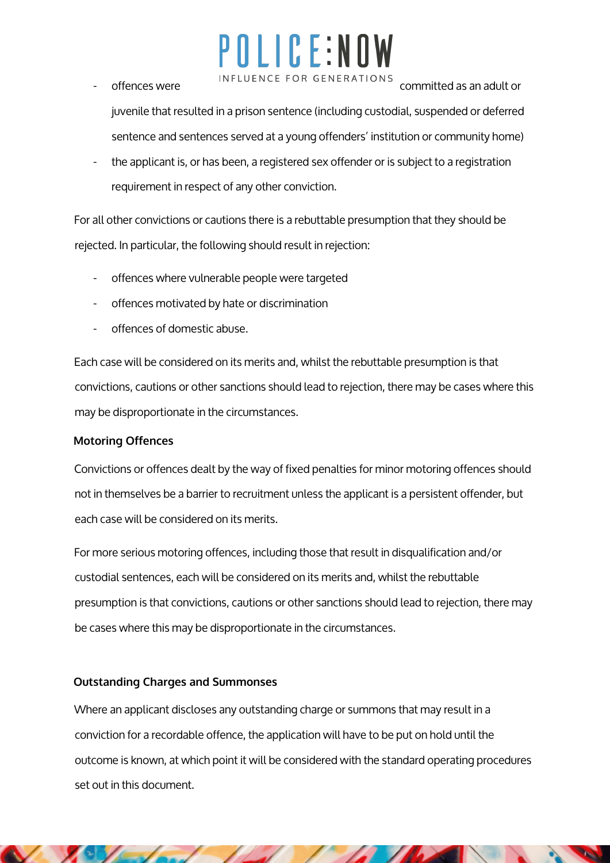# POLICE:NOW

- INFLUENCE FOR GENERATIONS committed as an adult or juvenile that resulted in a prison sentence (including custodial, suspended or deferred sentence and sentences served at a young offenders' institution or community home)
- the applicant is, or has been, a registered sex offender or is subject to a registration requirement in respect of any other conviction.

For all other convictions or cautions there is a rebuttable presumption that they should be rejected. In particular, the following should result in rejection:

- offences where vulnerable people were targeted
- offences motivated by hate or discrimination
- offences of domestic abuse.

Each case will be considered on its merits and, whilst the rebuttable presumption is that convictions, cautions or other sanctions should lead to rejection, there may be cases where this may be disproportionate in the circumstances.

### **Motoring Offences**

Convictions or offences dealt by the way of fixed penalties for minor motoring offences should not in themselves be a barrier to recruitment unless the applicant is a persistent offender, but each case will be considered on its merits.

For more serious motoring offences, including those that result in disqualification and/or custodial sentences, each will be considered on its merits and, whilst the rebuttable presumption is that convictions, cautions or other sanctions should lead to rejection, there may be cases where this may be disproportionate in the circumstances.

### **Outstanding Charges and Summonses**

Where an applicant discloses any outstanding charge or summons that may result in a conviction for a recordable offence, the application will have to be put on hold until the outcome is known, at which point it will be considered with the standard operating procedures set out in this document.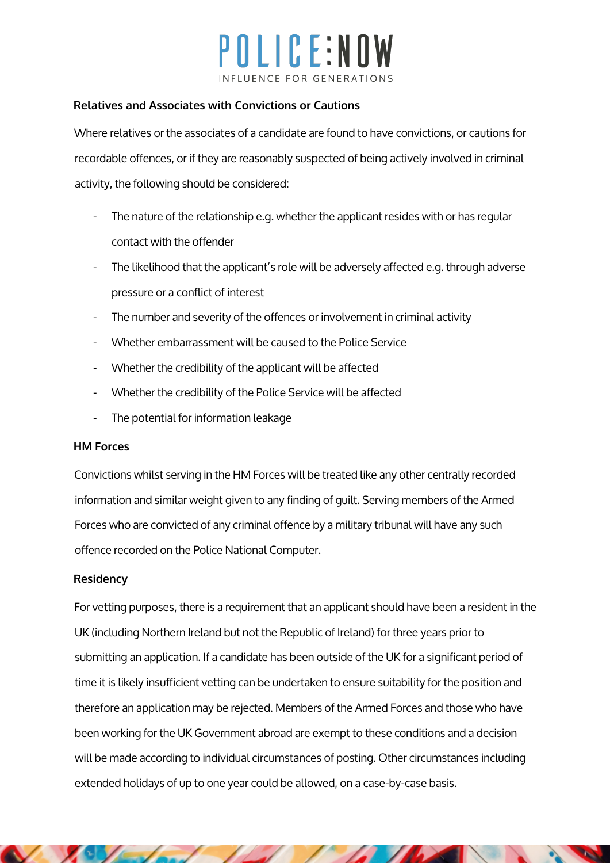## POLICE:NOW INFLUENCE FOR GENERATIO

#### **Relatives and Associates with Convictions or Cautions**

Where relatives or the associates of a candidate are found to have convictions, or cautions for recordable offences, or if they are reasonably suspected of being actively involved in criminal activity, the following should be considered:

- The nature of the relationship e.g. whether the applicant resides with or has regular contact with the offender
- The likelihood that the applicant's role will be adversely affected e.g. through adverse pressure or a conflict of interest
- The number and severity of the offences or involvement in criminal activity
- Whether embarrassment will be caused to the Police Service
- Whether the credibility of the applicant will be affected
- Whether the credibility of the Police Service will be affected
- The potential for information leakage

#### **HM Forces**

Convictions whilst serving in the HM Forces will be treated like any other centrally recorded information and similar weight given to any finding of guilt. Serving members of the Armed Forces who are convicted of any criminal offence by a military tribunal will have any such offence recorded on the Police National Computer.

### **Residency**

For vetting purposes, there is a requirement that an applicant should have been a resident in the UK (including Northern Ireland but not the Republic of Ireland) for three years prior to submitting an application. If a candidate has been outside of the UK for a significant period of time it is likely insufficient vetting can be undertaken to ensure suitability for the position and therefore an application may be rejected. Members of the Armed Forces and those who have been working for the UK Government abroad are exempt to these conditions and a decision will be made according to individual circumstances of posting. Other circumstances including extended holidays of up to one year could be allowed, on a case-by-case basis.